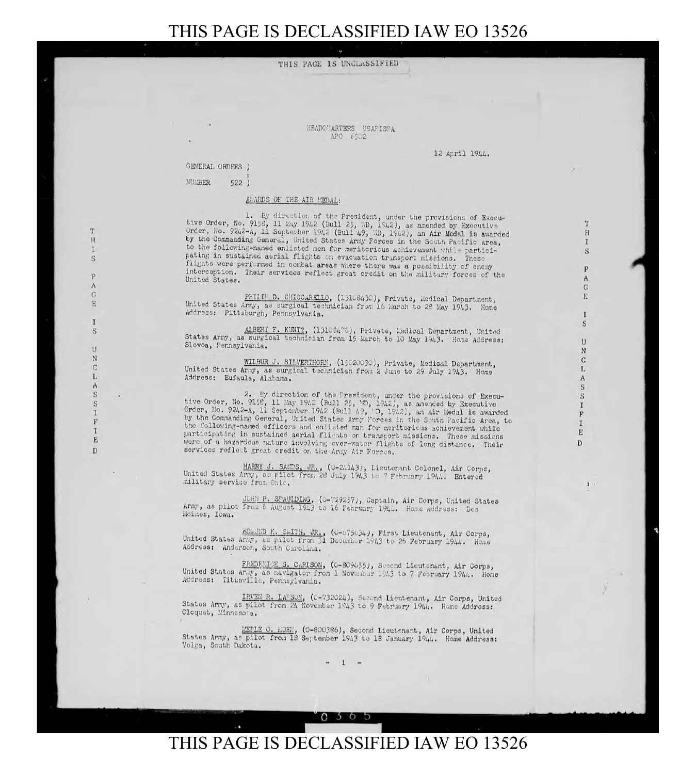HEADOUARTERS USAFISPA APO #502

12 April 1944.

GENERAL ORDERS )

NUMBER  $522)$ 

## AWARDS OF THE AIR MEDAL:

1. By direction of the President, under the provisions of Executive Order, No. 9158, 11 May 1942 (Bull 25, ND, 1942), as amended by Executive Order, No. 9242-A, 11 September 1942 (Bull 49, ND, 1942), an Air Medal is awarded by the Commanding General, United States Army Forces in the S to the following-named enlisted men for meritorious achievement while participating in sustained aerial flights on evacuation transport missions. These flights were performed in combat areas where there was a possibility of enemy interception. Their services reflect great credit on the military forces of the United States.

PHILIP D. CHICCARELLO, (13108430), Private, Medical Department, United States Army, as surgical technician from 16 March to 28 May 1943. Home Address: Pittsburgh, Pennsylvania.

ALBERT F. KUNTZ, (13108475), Private, Medical Department, United States Army, as surgical technician from 15 March to 10 May 1943. Home Address: Slovoa, Pennsylvania.

WILBUR J. SILVERTHORM, (15020030), Private, Medical Department. United States Army, as surgical technician from 2 June to 29 July 1943. Home Address: Eufaula, Alabama.

2. By direction of the President, under the provisions of Executive Order, No. 9152, 11 May 1942 (Bull 25, VD, 1942), as amended by Executive<br>Order, No. 9242-A, 11 September 1942 (Bull 49, 'D, 1942), an Air Medal is awarded<br>by the Commanding General, United States Army Forces in the S the following-named officers and enlisted man for meritorious achievement while participating in sustained aerial flights on transport missions. These missions were of a hazardous nature involving over-water flights of long distance. Their services reflect great credit on the Army Air Forces.

HARRY J. SANDS, JR., (0-24143), Lieutenant Colonel, Air Corpe, United States Army, as pilot from 28 July 1943 to 7 February 1944. Entered military service from Ohio.

JOHN P. SPAULDING, (0-729257), Captain, Air Corps, United States Army, as pilot from 6 August 1943 to 16 February 1944. Home Address: Des Moines, Iowa.

EDMUND K. SMITH, JR., (0-675634), First Lieutenant, Air Corps, United States Army, as pilot from 31 December 1943 to 26 February 1944. Home Address: Anderson, South Carolina.

FREDERICK S. CARISON, (0-809655), Second Lieutenant, Air Corps, United States Army, as navigator from 1 November 1943 to 7 February 1944. Home Address: Titusville, Pennsylvania.

IRVEN R. LARSON, (0-732024), Second Lieutenant, Air Corps, United States Army, as pilot from 24 November 1943 to 9 February 1944. Home Address: Cloquet, Minnesota.

MEPLE O. MOEN, (0-800386), Second Lieutenant, Air Corps, United States Army, as pilot from 18 September 1943 to 18 January 1944. Home Address: Volga, South Dakota.

 $\mathbf 1$